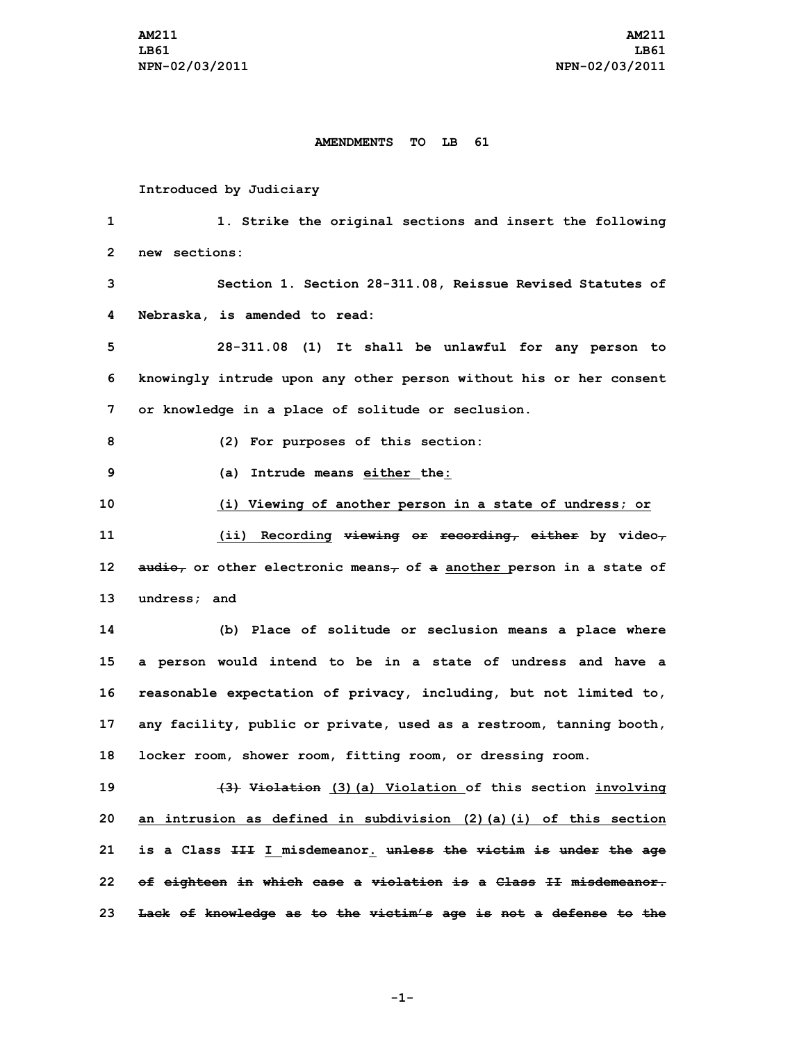## **AMENDMENTS TO LB 61**

## **Introduced by Judiciary**

 **1. Strike the original sections and insert the following new sections: Section 1. Section 28-311.08, Reissue Revised Statutes of Nebraska, is amended to read: 28-311.08 (1) It shall be unlawful for any person to knowingly intrude upon any other person without his or her consent or knowledge in <sup>a</sup> place of solitude or seclusion. (2) For purposes of this section: (a) Intrude means either the: (i) Viewing of another person in <sup>a</sup> state of undress; or (ii) Recording viewing or recording, either by video, audio, or other electronic means, of <sup>a</sup> another person in <sup>a</sup> state of undress; and (b) Place of solitude or seclusion means <sup>a</sup> place where <sup>a</sup> person would intend to be in <sup>a</sup> state of undress and have <sup>a</sup> reasonable expectation of privacy, including, but not limited to, any facility, public or private, used as <sup>a</sup> restroom, tanning booth, locker room, shower room, fitting room, or dressing room. (3) Violation (3)(a) Violation of this section involving an intrusion as defined in subdivision (2)(a)(i) of this section is <sup>a</sup> Class III <sup>I</sup> misdemeanor. unless the victim is under the age of eighteen in which case <sup>a</sup> violation is <sup>a</sup> Class II misdemeanor.**

**-1-**

**23 Lack of knowledge as to the victim's age is not <sup>a</sup> defense to the**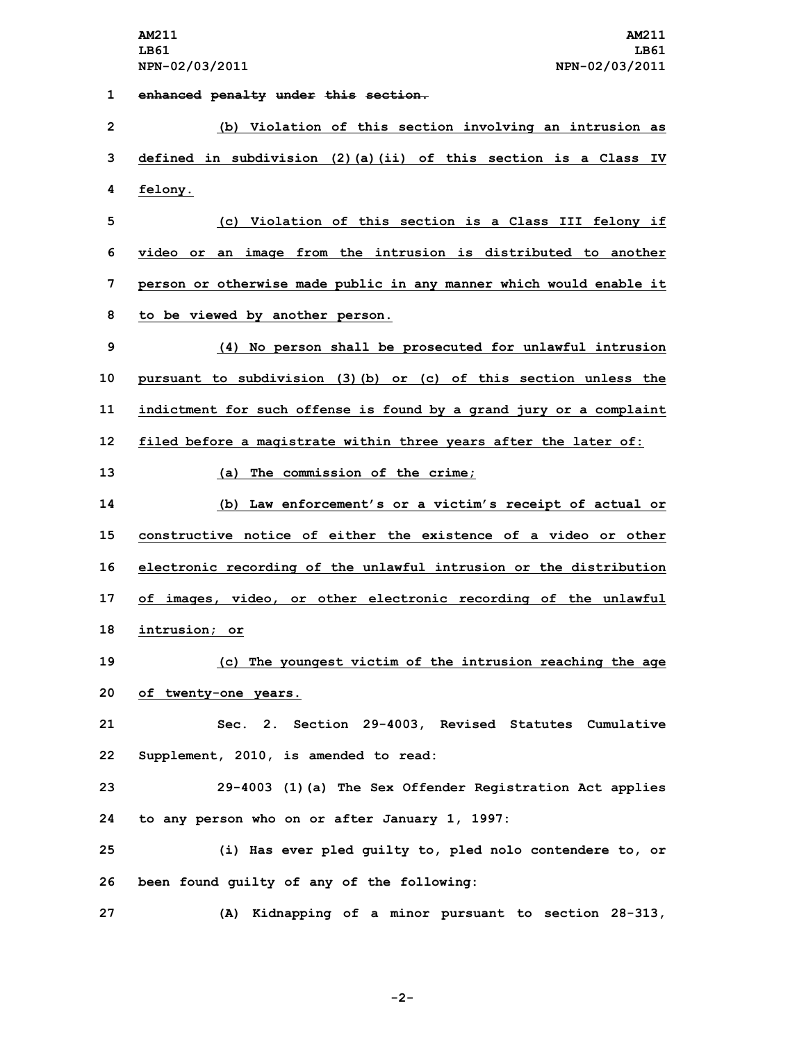**1 enhanced penalty under this section.**

 **(b) Violation of this section involving an intrusion as defined in subdivision (2)(a)(ii) of this section is <sup>a</sup> Class IV 4 felony. (c) Violation of this section is <sup>a</sup> Class III felony if video or an image from the intrusion is distributed to another person or otherwise made public in any manner which would enable it to be viewed by another person. (4) No person shall be prosecuted for unlawful intrusion pursuant to subdivision (3)(b) or (c) of this section unless the indictment for such offense is found by <sup>a</sup> grand jury or <sup>a</sup> complaint filed before <sup>a</sup> magistrate within three years after the later of: (a) The commission of the crime; (b) Law enforcement's or <sup>a</sup> victim's receipt of actual or constructive notice of either the existence of a video or other electronic recording of the unlawful intrusion or the distribution of images, video, or other electronic recording of the unlawful intrusion; or (c) The youngest victim of the intrusion reaching the age of twenty-one years. Sec. 2. Section 29-4003, Revised Statutes Cumulative Supplement, 2010, is amended to read: 29-4003 (1)(a) The Sex Offender Registration Act applies to any person who on or after January 1, 1997: (i) Has ever pled guilty to, pled nolo contendere to, or been found guilty of any of the following: (A) Kidnapping of <sup>a</sup> minor pursuant to section 28-313,**

**-2-**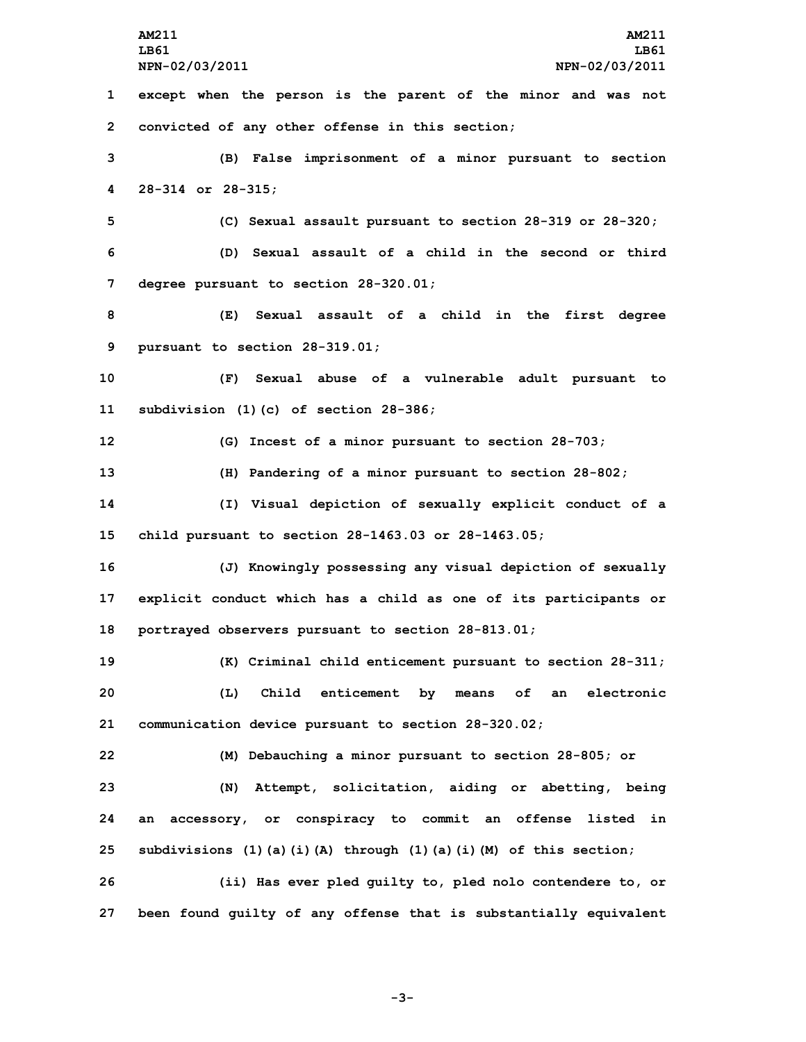**AM211 AM211 LB61 LB61 NPN-02/03/2011 NPN-02/03/2011 except when the person is the parent of the minor and was not convicted of any other offense in this section; (B) False imprisonment of <sup>a</sup> minor pursuant to section 28-314 or 28-315; (C) Sexual assault pursuant to section 28-319 or 28-320; (D) Sexual assault of <sup>a</sup> child in the second or third degree pursuant to section 28-320.01; (E) Sexual assault of <sup>a</sup> child in the first degree pursuant to section 28-319.01; (F) Sexual abuse of <sup>a</sup> vulnerable adult pursuant to subdivision (1)(c) of section 28-386; (G) Incest of <sup>a</sup> minor pursuant to section 28-703; (H) Pandering of <sup>a</sup> minor pursuant to section 28-802; (I) Visual depiction of sexually explicit conduct of <sup>a</sup> child pursuant to section 28-1463.03 or 28-1463.05; (J) Knowingly possessing any visual depiction of sexually explicit conduct which has <sup>a</sup> child as one of its participants or portrayed observers pursuant to section 28-813.01; (K) Criminal child enticement pursuant to section 28-311; (L) Child enticement by means of an electronic communication device pursuant to section 28-320.02; (M) Debauching <sup>a</sup> minor pursuant to section 28-805; or (N) Attempt, solicitation, aiding or abetting, being an accessory, or conspiracy to commit an offense listed in subdivisions (1)(a)(i)(A) through (1)(a)(i)(M) of this section; (ii) Has ever pled guilty to, pled nolo contendere to, or been found guilty of any offense that is substantially equivalent**

**-3-**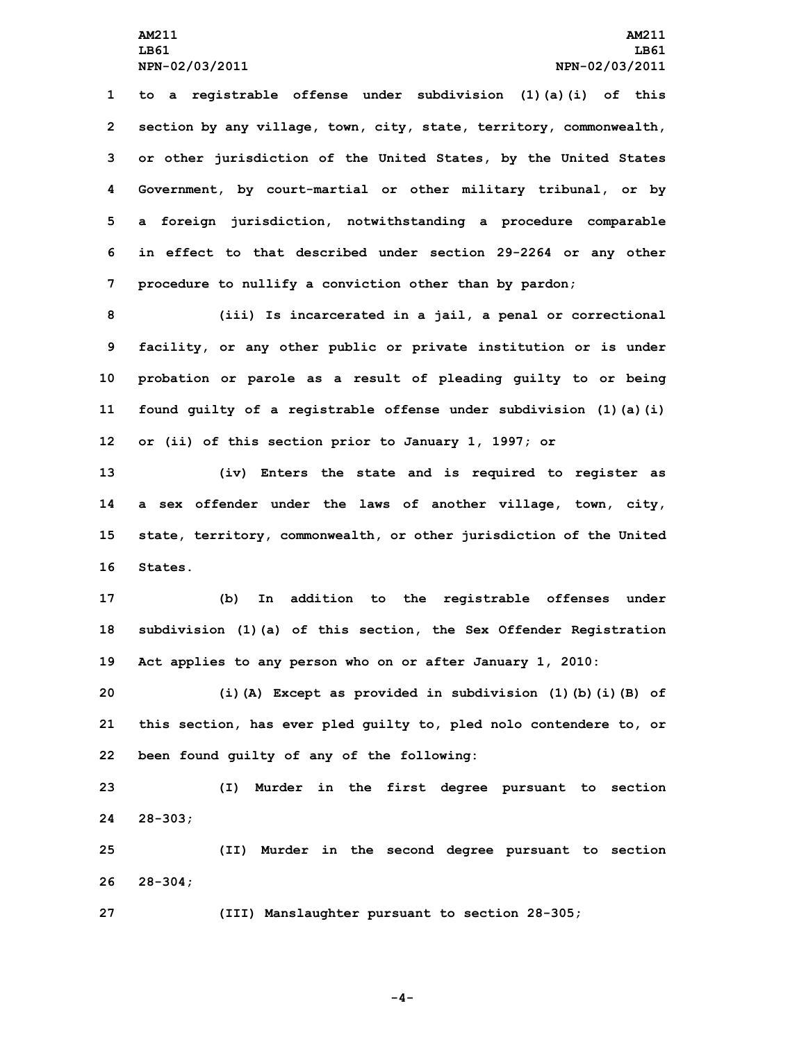**to <sup>a</sup> registrable offense under subdivision (1)(a)(i) of this section by any village, town, city, state, territory, commonwealth, or other jurisdiction of the United States, by the United States Government, by court-martial or other military tribunal, or by <sup>a</sup> foreign jurisdiction, notwithstanding <sup>a</sup> procedure comparable in effect to that described under section 29-2264 or any other procedure to nullify <sup>a</sup> conviction other than by pardon;**

 **(iii) Is incarcerated in <sup>a</sup> jail, <sup>a</sup> penal or correctional facility, or any other public or private institution or is under probation or parole as <sup>a</sup> result of pleading guilty to or being found guilty of <sup>a</sup> registrable offense under subdivision (1)(a)(i) or (ii) of this section prior to January 1, 1997; or**

 **(iv) Enters the state and is required to register as <sup>a</sup> sex offender under the laws of another village, town, city, state, territory, commonwealth, or other jurisdiction of the United 16 States.**

**17 (b) In addition to the registrable offenses under 18 subdivision (1)(a) of this section, the Sex Offender Registration 19 Act applies to any person who on or after January 1, 2010:**

**20 (i)(A) Except as provided in subdivision (1)(b)(i)(B) of 21 this section, has ever pled guilty to, pled nolo contendere to, or 22 been found guilty of any of the following:**

**23 (I) Murder in the first degree pursuant to section 24 28-303;**

**25 (II) Murder in the second degree pursuant to section 26 28-304;**

**27 (III) Manslaughter pursuant to section 28-305;**

**-4-**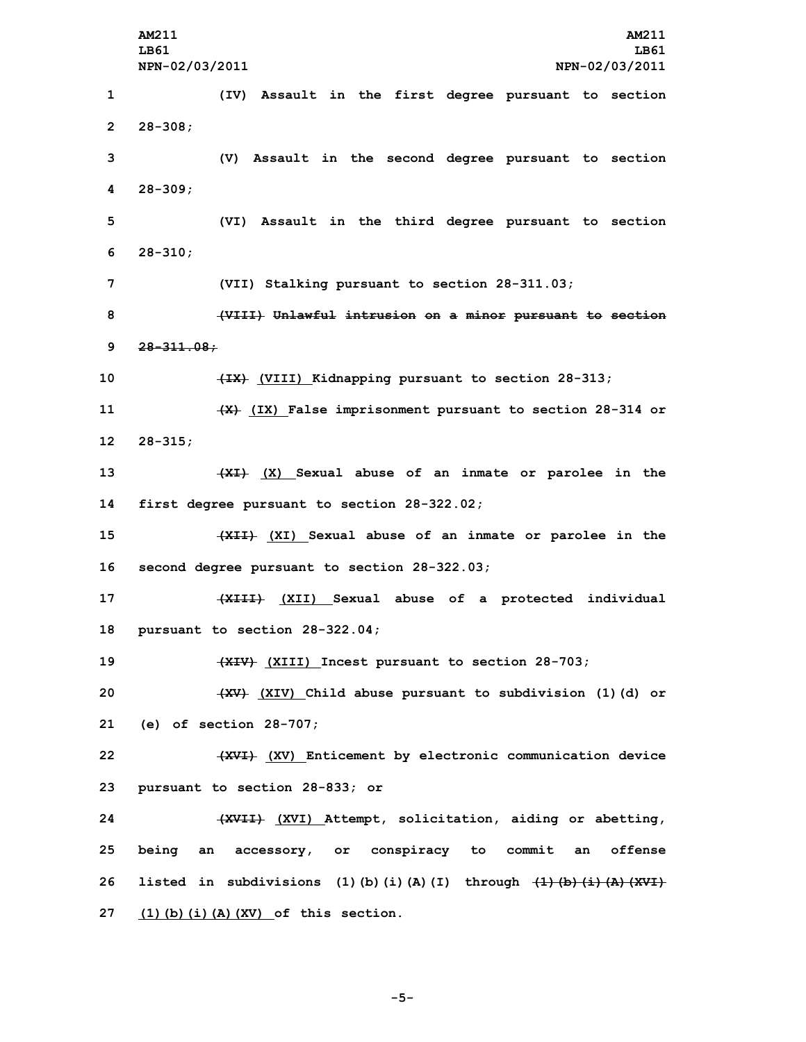**AM211 AM211 LB61 LB61 NPN-02/03/2011 NPN-02/03/2011 (IV) Assault in the first degree pursuant to section 2 28-308; (V) Assault in the second degree pursuant to section 4 28-309; (VI) Assault in the third degree pursuant to section 6 28-310; (VII) Stalking pursuant to section 28-311.03; (VIII) Unlawful intrusion on <sup>a</sup> minor pursuant to section 28-311.08; (IX) (VIII) Kidnapping pursuant to section 28-313; (X) (IX) False imprisonment pursuant to section 28-314 or 12 28-315; (XI) (X) Sexual abuse of an inmate or parolee in the first degree pursuant to section 28-322.02; (XII) (XI) Sexual abuse of an inmate or parolee in the second degree pursuant to section 28-322.03; (XIII) (XII) Sexual abuse of <sup>a</sup> protected individual pursuant to section 28-322.04; (XIV) (XIII) Incest pursuant to section 28-703; (XV) (XIV) Child abuse pursuant to subdivision (1)(d) or (e) of section 28-707; (XVI) (XV) Enticement by electronic communication device pursuant to section 28-833; or (XVII) (XVI) Attempt, solicitation, aiding or abetting, being an accessory, or conspiracy to commit an offense listed in subdivisions (1)(b)(i)(A)(I) through (1)(b)(i)(A)(XVI) (1)(b)(i)(A)(XV) of this section.**

**-5-**